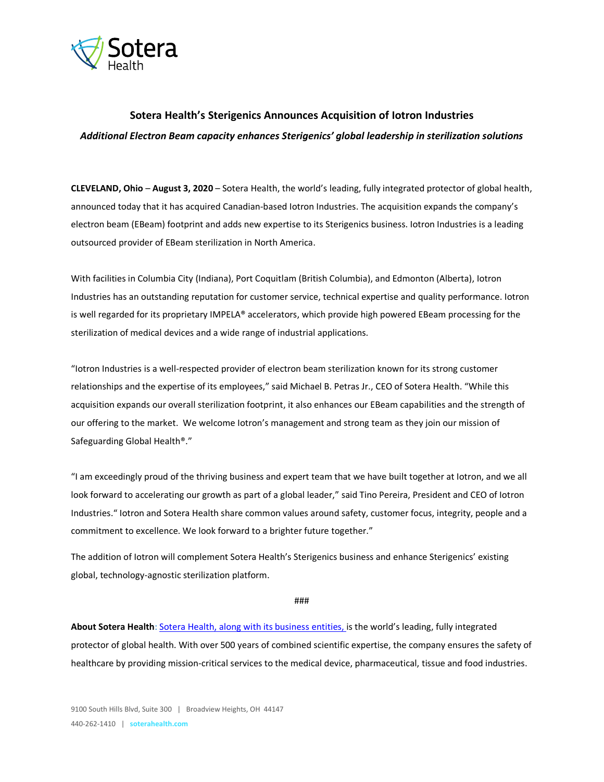

# **Sotera Health's Sterigenics Announces Acquisition of Iotron Industries** *Additional Electron Beam capacity enhances Sterigenics' global leadership in sterilization solutions*

**CLEVELAND, Ohio** – **August 3, 2020** – Sotera Health, the world's leading, fully integrated protector of global health, announced today that it has acquired Canadian-based Iotron Industries. The acquisition expands the company's electron beam (EBeam) footprint and adds new expertise to its Sterigenics business. Iotron Industries is a leading outsourced provider of EBeam sterilization in North America.

With facilities in Columbia City (Indiana), Port Coquitlam (British Columbia), and Edmonton (Alberta), Iotron Industries has an outstanding reputation for customer service, technical expertise and quality performance. Iotron is well regarded for its proprietary IMPELA® accelerators, which provide high powered EBeam processing for the sterilization of medical devices and a wide range of industrial applications.

"Iotron Industries is a well-respected provider of electron beam sterilization known for its strong customer relationships and the expertise of its employees," said Michael B. Petras Jr., CEO of Sotera Health. "While this acquisition expands our overall sterilization footprint, it also enhances our EBeam capabilities and the strength of our offering to the market. We welcome Iotron's management and strong team as they join our mission of Safeguarding Global Health®."

"I am exceedingly proud of the thriving business and expert team that we have built together at Iotron, and we all look forward to accelerating our growth as part of a global leader," said Tino Pereira, President and CEO of Iotron Industries." Iotron and Sotera Health share common values around safety, customer focus, integrity, people and a commitment to excellence. We look forward to a brighter future together."

The addition of Iotron will complement Sotera Health's Sterigenics business and enhance Sterigenics' existing global, technology-agnostic sterilization platform.

###

**About Sotera Health**: [Sotera Health, along with its business entities,](http://www.soterahealth.com/) is the world's leading, fully integrated protector of global health. With over 500 years of combined scientific expertise, the company ensures the safety of healthcare by providing mission-critical services to the medical device, pharmaceutical, tissue and food industries.